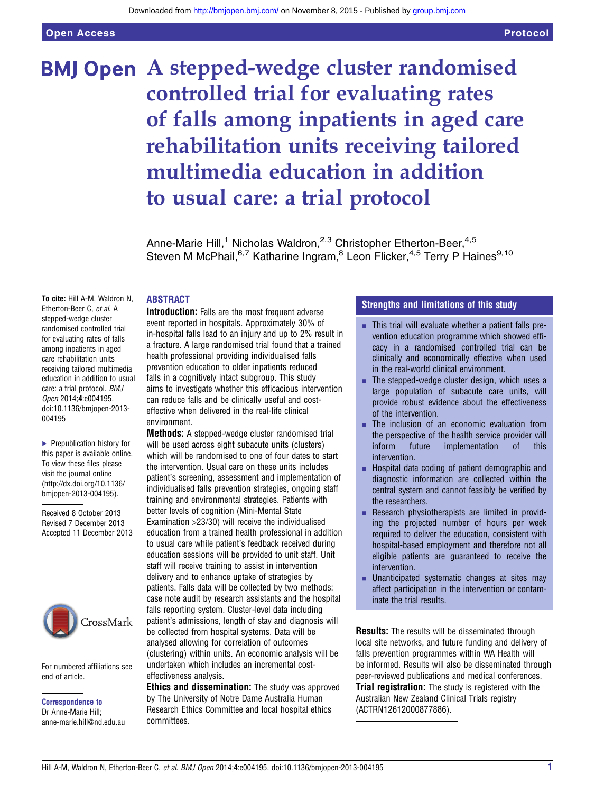# BMJ Open A stepped-wedge cluster randomised controlled trial for evaluating rates of falls among inpatients in aged care rehabilitation units receiving tailored multimedia education in addition to usual care: a trial protocol

Anne-Marie Hill,<sup>1</sup> Nicholas Waldron,<sup>2,3</sup> Christopher Etherton-Beer,<sup>4,5</sup> Steven M McPhail, 6,7 Katharine Ingram, <sup>8</sup> Leon Flicker, <sup>4,5</sup> Terry P Haines 9,10

#### ABSTRACT

To cite: Hill A-M, Waldron N, Etherton-Beer C, et al. A stepped-wedge cluster randomised controlled trial for evaluating rates of falls among inpatients in aged care rehabilitation units receiving tailored multimedia education in addition to usual care: a trial protocol. BMJ Open 2014;4:e004195. doi:10.1136/bmjopen-2013- 004195

▶ Prepublication history for this paper is available online. To view these files please visit the journal online [\(http://dx.doi.org/10.1136/](http://dx.doi.org/10.1136/bmjopen-2013-004195) [bmjopen-2013-004195](http://dx.doi.org/10.1136/bmjopen-2013-004195)).

Received 8 October 2013 Revised 7 December 2013 Accepted 11 December 2013



For numbered affiliations see end of article.

Correspondence to Dr Anne-Marie Hill; anne-marie.hill@nd.edu.au

Introduction: Falls are the most frequent adverse event reported in hospitals. Approximately 30% of in-hospital falls lead to an injury and up to 2% result in a fracture. A large randomised trial found that a trained health professional providing individualised falls prevention education to older inpatients reduced falls in a cognitively intact subgroup. This study aims to investigate whether this efficacious intervention can reduce falls and be clinically useful and costeffective when delivered in the real-life clinical environment.

Methods: A stepped-wedge cluster randomised trial will be used across eight subacute units (clusters) which will be randomised to one of four dates to start the intervention. Usual care on these units includes patient's screening, assessment and implementation of individualised falls prevention strategies, ongoing staff training and environmental strategies. Patients with better levels of cognition (Mini-Mental State Examination >23/30) will receive the individualised education from a trained health professional in addition to usual care while patient's feedback received during education sessions will be provided to unit staff. Unit staff will receive training to assist in intervention delivery and to enhance uptake of strategies by patients. Falls data will be collected by two methods: case note audit by research assistants and the hospital falls reporting system. Cluster-level data including patient's admissions, length of stay and diagnosis will be collected from hospital systems. Data will be analysed allowing for correlation of outcomes (clustering) within units. An economic analysis will be undertaken which includes an incremental costeffectiveness analysis.

**Ethics and dissemination:** The study was approved by The University of Notre Dame Australia Human Research Ethics Committee and local hospital ethics committees.

### Strengths and limitations of this study

- This trial will evaluate whether a patient falls prevention education programme which showed efficacy in a randomised controlled trial can be clinically and economically effective when used in the real-world clinical environment.
- $\blacksquare$  The stepped-wedge cluster design, which uses a large population of subacute care units, will provide robust evidence about the effectiveness of the intervention.
- $\blacksquare$  The inclusion of an economic evaluation from the perspective of the health service provider will inform future implementation of this intervention.
- $\blacksquare$  Hospital data coding of patient demographic and diagnostic information are collected within the central system and cannot feasibly be verified by the researchers.
- **EXECUTE:** Research physiotherapists are limited in providing the projected number of hours per week required to deliver the education, consistent with hospital-based employment and therefore not all eligible patients are guaranteed to receive the intervention.
- Unanticipated systematic changes at sites may affect participation in the intervention or contaminate the trial results.

**Results:** The results will be disseminated through local site networks, and future funding and delivery of falls prevention programmes within WA Health will be informed. Results will also be disseminated through peer-reviewed publications and medical conferences. Trial registration: The study is registered with the Australian New Zealand Clinical Trials registry (ACTRN12612000877886).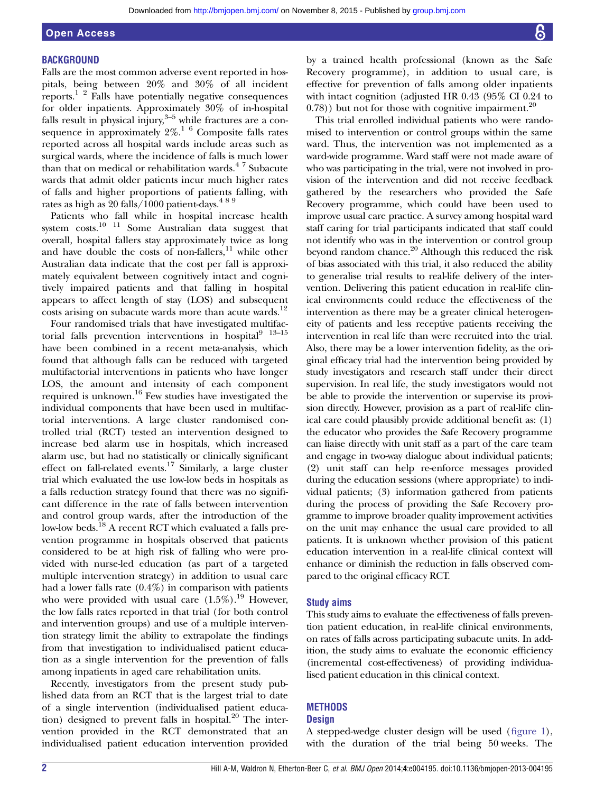#### Open Access

#### **BACKGROUND**

Falls are the most common adverse event reported in hospitals, being between 20% and 30% of all incident reports.<sup>1 2</sup> Falls have potentially negative consequences for older inpatients. Approximately 30% of in-hospital falls result in physical injury, $3-5$  while fractures are a consequence in approximately  $2\%$ .<sup>1 6</sup> Composite falls rates reported across all hospital wards include areas such as surgical wards, where the incidence of falls is much lower than that on medical or rehabilitation wards.<sup>47</sup> Subacute wards that admit older patients incur much higher rates of falls and higher proportions of patients falling, with rates as high as 20 falls/1000 patient-days. $489$ 

Patients who fall while in hospital increase health system  $\cos s$ <sup>10 11</sup> Some Australian data suggest that overall, hospital fallers stay approximately twice as long and have double the costs of non-fallers, $^{11}$  while other Australian data indicate that the cost per fall is approximately equivalent between cognitively intact and cognitively impaired patients and that falling in hospital appears to affect length of stay (LOS) and subsequent costs arising on subacute wards more than acute wards.<sup>12</sup>

Four randomised trials that have investigated multifactorial falls prevention interventions in hospital $9^{13-15}$ have been combined in a recent meta-analysis, which found that although falls can be reduced with targeted multifactorial interventions in patients who have longer LOS, the amount and intensity of each component required is unknown.<sup>16</sup> Few studies have investigated the individual components that have been used in multifactorial interventions. A large cluster randomised controlled trial (RCT) tested an intervention designed to increase bed alarm use in hospitals, which increased alarm use, but had no statistically or clinically significant effect on fall-related events.<sup>17</sup> Similarly, a large cluster trial which evaluated the use low-low beds in hospitals as a falls reduction strategy found that there was no significant difference in the rate of falls between intervention and control group wards, after the introduction of the low-low beds.<sup>18</sup> A recent RCT which evaluated a falls prevention programme in hospitals observed that patients considered to be at high risk of falling who were provided with nurse-led education (as part of a targeted multiple intervention strategy) in addition to usual care had a lower falls rate (0.4%) in comparison with patients who were provided with usual care  $(1.5\%)$ .<sup>19</sup> However, the low falls rates reported in that trial (for both control and intervention groups) and use of a multiple intervention strategy limit the ability to extrapolate the findings from that investigation to individualised patient education as a single intervention for the prevention of falls among inpatients in aged care rehabilitation units.

Recently, investigators from the present study published data from an RCT that is the largest trial to date of a single intervention (individualised patient education) designed to prevent falls in hospital. $20$  The intervention provided in the RCT demonstrated that an individualised patient education intervention provided by a trained health professional (known as the Safe Recovery programme), in addition to usual care, is effective for prevention of falls among older inpatients with intact cognition (adjusted HR 0.43 (95% CI 0.24 to  $(0.78)$ ) but not for those with cognitive impairment.<sup>20</sup>

This trial enrolled individual patients who were randomised to intervention or control groups within the same ward. Thus, the intervention was not implemented as a ward-wide programme. Ward staff were not made aware of who was participating in the trial, were not involved in provision of the intervention and did not receive feedback gathered by the researchers who provided the Safe Recovery programme, which could have been used to improve usual care practice. A survey among hospital ward staff caring for trial participants indicated that staff could not identify who was in the intervention or control group beyond random chance. $^{20}$  Although this reduced the risk of bias associated with this trial, it also reduced the ability to generalise trial results to real-life delivery of the intervention. Delivering this patient education in real-life clinical environments could reduce the effectiveness of the intervention as there may be a greater clinical heterogeneity of patients and less receptive patients receiving the intervention in real life than were recruited into the trial. Also, there may be a lower intervention fidelity, as the original efficacy trial had the intervention being provided by study investigators and research staff under their direct supervision. In real life, the study investigators would not be able to provide the intervention or supervise its provision directly. However, provision as a part of real-life clinical care could plausibly provide additional benefit as: (1) the educator who provides the Safe Recovery programme can liaise directly with unit staff as a part of the care team and engage in two-way dialogue about individual patients; (2) unit staff can help re-enforce messages provided during the education sessions (where appropriate) to individual patients; (3) information gathered from patients during the process of providing the Safe Recovery programme to improve broader quality improvement activities on the unit may enhance the usual care provided to all patients. It is unknown whether provision of this patient education intervention in a real-life clinical context will enhance or diminish the reduction in falls observed compared to the original efficacy RCT.

#### Study aims

This study aims to evaluate the effectiveness of falls prevention patient education, in real-life clinical environments, on rates of falls across participating subacute units. In addition, the study aims to evaluate the economic efficiency (incremental cost-effectiveness) of providing individualised patient education in this clinical context.

#### **METHODS**

#### **Design**

A stepped-wedge cluster design will be used (figure 1), with the duration of the trial being 50 weeks. The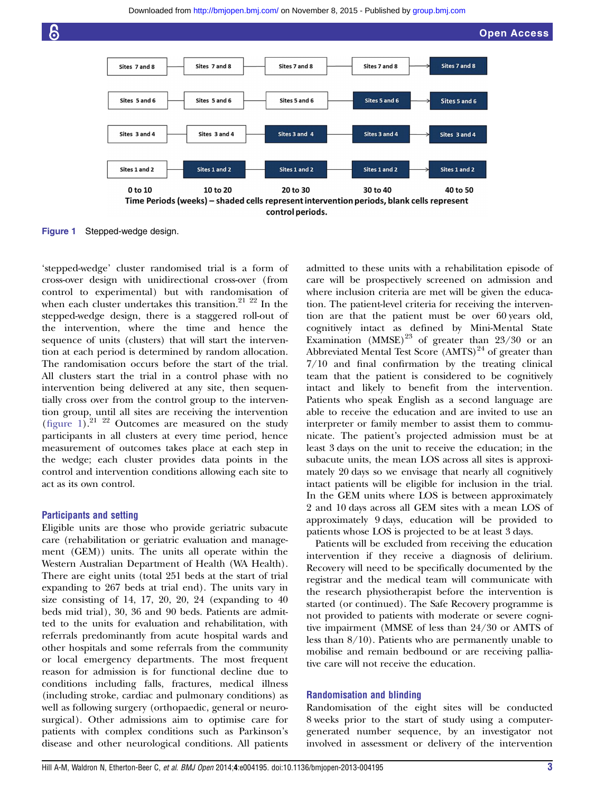

Figure 1 Stepped-wedge design.

'stepped-wedge' cluster randomised trial is a form of cross-over design with unidirectional cross-over (from control to experimental) but with randomisation of when each cluster undertakes this transition.<sup>21 22</sup> In the stepped-wedge design, there is a staggered roll-out of the intervention, where the time and hence the sequence of units (clusters) that will start the intervention at each period is determined by random allocation. The randomisation occurs before the start of the trial. All clusters start the trial in a control phase with no intervention being delivered at any site, then sequentially cross over from the control group to the intervention group, until all sites are receiving the intervention (figure 1). $21 \t22$  Outcomes are measured on the study participants in all clusters at every time period, hence measurement of outcomes takes place at each step in the wedge; each cluster provides data points in the control and intervention conditions allowing each site to act as its own control.

#### Participants and setting

Eligible units are those who provide geriatric subacute care (rehabilitation or geriatric evaluation and management (GEM)) units. The units all operate within the Western Australian Department of Health (WA Health). There are eight units (total 251 beds at the start of trial expanding to 267 beds at trial end). The units vary in size consisting of 14, 17, 20, 20, 24 (expanding to  $40$ ) beds mid trial), 30, 36 and 90 beds. Patients are admitted to the units for evaluation and rehabilitation, with referrals predominantly from acute hospital wards and other hospitals and some referrals from the community or local emergency departments. The most frequent reason for admission is for functional decline due to conditions including falls, fractures, medical illness (including stroke, cardiac and pulmonary conditions) as well as following surgery (orthopaedic, general or neurosurgical). Other admissions aim to optimise care for patients with complex conditions such as Parkinson's disease and other neurological conditions. All patients

admitted to these units with a rehabilitation episode of care will be prospectively screened on admission and where inclusion criteria are met will be given the education. The patient-level criteria for receiving the intervention are that the patient must be over 60 years old, cognitively intact as defined by Mini-Mental State Examination  $(MMSE)^{23}$  of greater than 23/30 or an Abbreviated Mental Test Score  $(AMTS)^{24}$  of greater than 7/10 and final confirmation by the treating clinical team that the patient is considered to be cognitively intact and likely to benefit from the intervention. Patients who speak English as a second language are able to receive the education and are invited to use an interpreter or family member to assist them to communicate. The patient's projected admission must be at least 3 days on the unit to receive the education; in the subacute units, the mean LOS across all sites is approximately 20 days so we envisage that nearly all cognitively intact patients will be eligible for inclusion in the trial. In the GEM units where LOS is between approximately 2 and 10 days across all GEM sites with a mean LOS of approximately 9 days, education will be provided to patients whose LOS is projected to be at least 3 days.

Patients will be excluded from receiving the education intervention if they receive a diagnosis of delirium. Recovery will need to be specifically documented by the registrar and the medical team will communicate with the research physiotherapist before the intervention is started (or continued). The Safe Recovery programme is not provided to patients with moderate or severe cognitive impairment (MMSE of less than 24/30 or AMTS of less than 8/10). Patients who are permanently unable to mobilise and remain bedbound or are receiving palliative care will not receive the education.

#### Randomisation and blinding

Randomisation of the eight sites will be conducted 8 weeks prior to the start of study using a computergenerated number sequence, by an investigator not involved in assessment or delivery of the intervention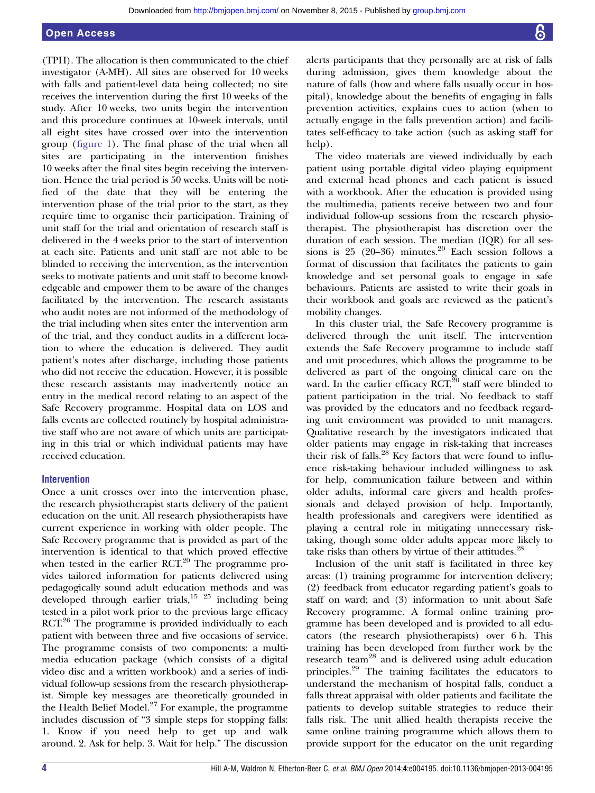#### Open Access

(TPH). The allocation is then communicated to the chief investigator (A-MH). All sites are observed for 10 weeks with falls and patient-level data being collected; no site receives the intervention during the first 10 weeks of the study. After 10 weeks, two units begin the intervention and this procedure continues at 10-week intervals, until all eight sites have crossed over into the intervention group (figure 1). The final phase of the trial when all sites are participating in the intervention finishes 10 weeks after the final sites begin receiving the intervention. Hence the trial period is 50 weeks. Units will be notified of the date that they will be entering the intervention phase of the trial prior to the start, as they require time to organise their participation. Training of unit staff for the trial and orientation of research staff is delivered in the 4 weeks prior to the start of intervention at each site. Patients and unit staff are not able to be blinded to receiving the intervention, as the intervention seeks to motivate patients and unit staff to become knowledgeable and empower them to be aware of the changes facilitated by the intervention. The research assistants who audit notes are not informed of the methodology of the trial including when sites enter the intervention arm of the trial, and they conduct audits in a different location to where the education is delivered. They audit patient's notes after discharge, including those patients who did not receive the education. However, it is possible these research assistants may inadvertently notice an entry in the medical record relating to an aspect of the Safe Recovery programme. Hospital data on LOS and falls events are collected routinely by hospital administrative staff who are not aware of which units are participating in this trial or which individual patients may have received education.

#### Intervention

Once a unit crosses over into the intervention phase, the research physiotherapist starts delivery of the patient education on the unit. All research physiotherapists have current experience in working with older people. The Safe Recovery programme that is provided as part of the intervention is identical to that which proved effective when tested in the earlier  $RCT<sup>20</sup>$  The programme provides tailored information for patients delivered using pedagogically sound adult education methods and was developed through earlier trials,  $15^{15}$   $25$  including being tested in a pilot work prior to the previous large efficacy RCT.26 The programme is provided individually to each patient with between three and five occasions of service. The programme consists of two components: a multimedia education package (which consists of a digital video disc and a written workbook) and a series of individual follow-up sessions from the research physiotherapist. Simple key messages are theoretically grounded in the Health Belief Model.<sup>27</sup> For example, the programme includes discussion of "3 simple steps for stopping falls: 1. Know if you need help to get up and walk around. 2. Ask for help. 3. Wait for help." The discussion alerts participants that they personally are at risk of falls during admission, gives them knowledge about the nature of falls (how and where falls usually occur in hospital), knowledge about the benefits of engaging in falls prevention activities, explains cues to action (when to actually engage in the falls prevention action) and facilitates self-efficacy to take action (such as asking staff for help).

The video materials are viewed individually by each patient using portable digital video playing equipment and external head phones and each patient is issued with a workbook. After the education is provided using the multimedia, patients receive between two and four individual follow-up sessions from the research physiotherapist. The physiotherapist has discretion over the duration of each session. The median (IQR) for all sessions is  $25$  (20–36) minutes.<sup>20</sup> Each session follows a format of discussion that facilitates the patients to gain knowledge and set personal goals to engage in safe behaviours. Patients are assisted to write their goals in their workbook and goals are reviewed as the patient's mobility changes.

In this cluster trial, the Safe Recovery programme is delivered through the unit itself. The intervention extends the Safe Recovery programme to include staff and unit procedures, which allows the programme to be delivered as part of the ongoing clinical care on the ward. In the earlier efficacy  $\overline{RCT}^{20}$  staff were blinded to patient participation in the trial. No feedback to staff was provided by the educators and no feedback regarding unit environment was provided to unit managers. Qualitative research by the investigators indicated that older patients may engage in risk-taking that increases their risk of falls.<sup>28</sup> Key factors that were found to influence risk-taking behaviour included willingness to ask for help, communication failure between and within older adults, informal care givers and health professionals and delayed provision of help. Importantly, health professionals and caregivers were identified as playing a central role in mitigating unnecessary risktaking, though some older adults appear more likely to take risks than others by virtue of their attitudes.<sup>28</sup>

Inclusion of the unit staff is facilitated in three key areas: (1) training programme for intervention delivery; (2) feedback from educator regarding patient's goals to staff on ward; and (3) information to unit about Safe Recovery programme. A formal online training programme has been developed and is provided to all educators (the research physiotherapists) over 6 h. This training has been developed from further work by the research team28 and is delivered using adult education principles.<sup>29</sup> The training facilitates the educators to understand the mechanism of hospital falls, conduct a falls threat appraisal with older patients and facilitate the patients to develop suitable strategies to reduce their falls risk. The unit allied health therapists receive the same online training programme which allows them to provide support for the educator on the unit regarding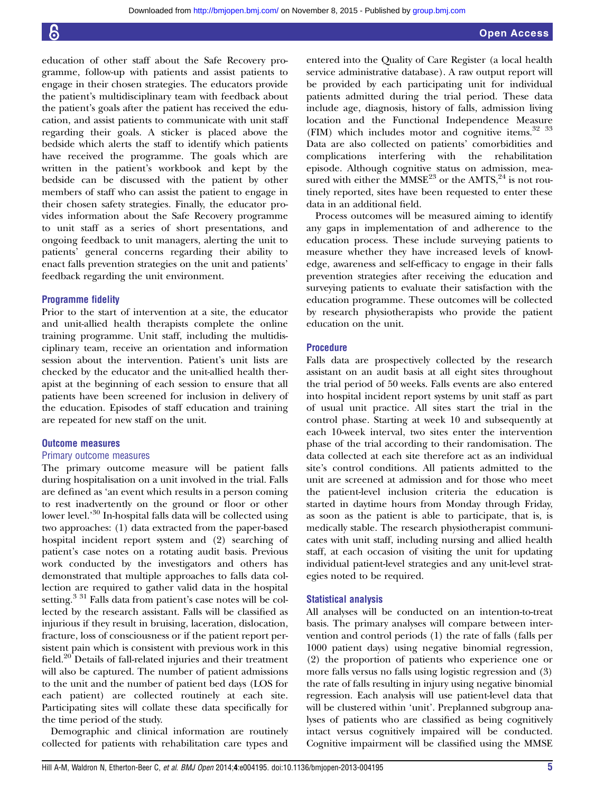education of other staff about the Safe Recovery programme, follow-up with patients and assist patients to engage in their chosen strategies. The educators provide the patient's multidisciplinary team with feedback about the patient's goals after the patient has received the education, and assist patients to communicate with unit staff regarding their goals. A sticker is placed above the bedside which alerts the staff to identify which patients have received the programme. The goals which are written in the patient's workbook and kept by the bedside can be discussed with the patient by other members of staff who can assist the patient to engage in their chosen safety strategies. Finally, the educator provides information about the Safe Recovery programme to unit staff as a series of short presentations, and ongoing feedback to unit managers, alerting the unit to patients' general concerns regarding their ability to enact falls prevention strategies on the unit and patients' feedback regarding the unit environment.

#### Programme fidelity

Prior to the start of intervention at a site, the educator and unit-allied health therapists complete the online training programme. Unit staff, including the multidisciplinary team, receive an orientation and information session about the intervention. Patient's unit lists are checked by the educator and the unit-allied health therapist at the beginning of each session to ensure that all patients have been screened for inclusion in delivery of the education. Episodes of staff education and training are repeated for new staff on the unit.

#### Outcome measures

#### Primary outcome measures

The primary outcome measure will be patient falls during hospitalisation on a unit involved in the trial. Falls are defined as 'an event which results in a person coming to rest inadvertently on the ground or floor or other lower level.' <sup>30</sup> In-hospital falls data will be collected using two approaches: (1) data extracted from the paper-based hospital incident report system and (2) searching of patient's case notes on a rotating audit basis. Previous work conducted by the investigators and others has demonstrated that multiple approaches to falls data collection are required to gather valid data in the hospital setting.<sup>3 31</sup> Falls data from patient's case notes will be collected by the research assistant. Falls will be classified as injurious if they result in bruising, laceration, dislocation, fracture, loss of consciousness or if the patient report persistent pain which is consistent with previous work in this field.<sup>20</sup> Details of fall-related injuries and their treatment will also be captured. The number of patient admissions to the unit and the number of patient bed days (LOS for each patient) are collected routinely at each site. Participating sites will collate these data specifically for the time period of the study.

Demographic and clinical information are routinely collected for patients with rehabilitation care types and

entered into the Quality of Care Register (a local health service administrative database). A raw output report will be provided by each participating unit for individual patients admitted during the trial period. These data include age, diagnosis, history of falls, admission living location and the Functional Independence Measure (FIM) which includes motor and cognitive items.32 33 Data are also collected on patients' comorbidities and complications interfering with the rehabilitation episode. Although cognitive status on admission, measured with either the  $\text{MMSE}^{23}$  or the AMTS,  $^{24}$  is not routinely reported, sites have been requested to enter these data in an additional field.

Process outcomes will be measured aiming to identify any gaps in implementation of and adherence to the education process. These include surveying patients to measure whether they have increased levels of knowledge, awareness and self-efficacy to engage in their falls prevention strategies after receiving the education and surveying patients to evaluate their satisfaction with the education programme. These outcomes will be collected by research physiotherapists who provide the patient education on the unit.

#### Procedure

Falls data are prospectively collected by the research assistant on an audit basis at all eight sites throughout the trial period of 50 weeks. Falls events are also entered into hospital incident report systems by unit staff as part of usual unit practice. All sites start the trial in the control phase. Starting at week 10 and subsequently at each 10-week interval, two sites enter the intervention phase of the trial according to their randomisation. The data collected at each site therefore act as an individual site's control conditions. All patients admitted to the unit are screened at admission and for those who meet the patient-level inclusion criteria the education is started in daytime hours from Monday through Friday, as soon as the patient is able to participate, that is, is medically stable. The research physiotherapist communicates with unit staff, including nursing and allied health staff, at each occasion of visiting the unit for updating individual patient-level strategies and any unit-level strategies noted to be required.

#### Statistical analysis

All analyses will be conducted on an intention-to-treat basis. The primary analyses will compare between intervention and control periods (1) the rate of falls (falls per 1000 patient days) using negative binomial regression, (2) the proportion of patients who experience one or more falls versus no falls using logistic regression and (3) the rate of falls resulting in injury using negative binomial regression. Each analysis will use patient-level data that will be clustered within 'unit'. Preplanned subgroup analyses of patients who are classified as being cognitively intact versus cognitively impaired will be conducted. Cognitive impairment will be classified using the MMSE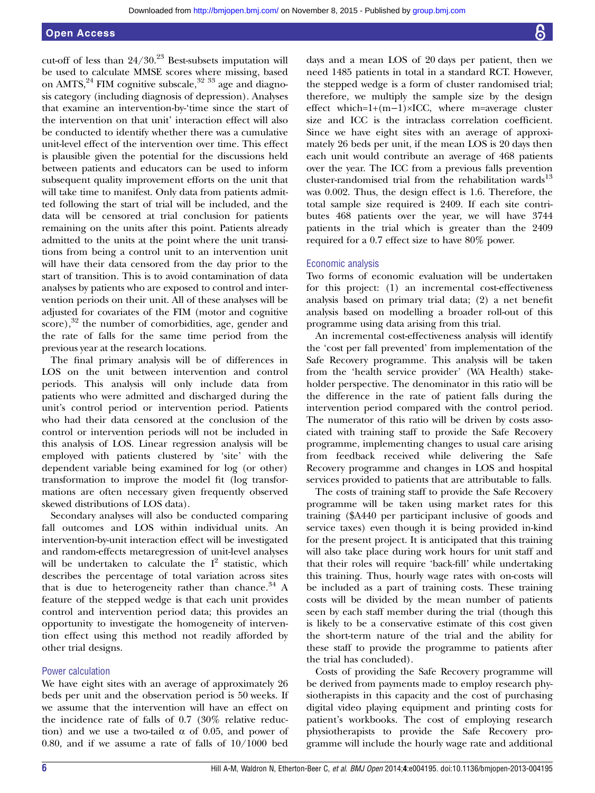cut-off of less than  $24/30.^{23}$  Best-subsets imputation will be used to calculate MMSE scores where missing, based on AMTS,<sup>24</sup> FIM cognitive subscale,<sup>32 33</sup> age and diagnosis category (including diagnosis of depression). Analyses that examine an intervention-by-'time since the start of the intervention on that unit' interaction effect will also be conducted to identify whether there was a cumulative unit-level effect of the intervention over time. This effect is plausible given the potential for the discussions held between patients and educators can be used to inform subsequent quality improvement efforts on the unit that will take time to manifest. Only data from patients admitted following the start of trial will be included, and the data will be censored at trial conclusion for patients remaining on the units after this point. Patients already admitted to the units at the point where the unit transitions from being a control unit to an intervention unit will have their data censored from the day prior to the start of transition. This is to avoid contamination of data analyses by patients who are exposed to control and intervention periods on their unit. All of these analyses will be adjusted for covariates of the FIM (motor and cognitive score), $32$  the number of comorbidities, age, gender and the rate of falls for the same time period from the previous year at the research locations.

The final primary analysis will be of differences in LOS on the unit between intervention and control periods. This analysis will only include data from patients who were admitted and discharged during the unit's control period or intervention period. Patients who had their data censored at the conclusion of the control or intervention periods will not be included in this analysis of LOS. Linear regression analysis will be employed with patients clustered by 'site' with the dependent variable being examined for log (or other) transformation to improve the model fit (log transformations are often necessary given frequently observed skewed distributions of LOS data).

Secondary analyses will also be conducted comparing fall outcomes and LOS within individual units. An intervention-by-unit interaction effect will be investigated and random-effects metaregression of unit-level analyses will be undertaken to calculate the  $I^2$  statistic, which describes the percentage of total variation across sites that is due to heterogeneity rather than chance.<sup>34</sup> A feature of the stepped wedge is that each unit provides control and intervention period data; this provides an opportunity to investigate the homogeneity of intervention effect using this method not readily afforded by other trial designs.

#### Power calculation

We have eight sites with an average of approximately 26 beds per unit and the observation period is 50 weeks. If we assume that the intervention will have an effect on the incidence rate of falls of 0.7 (30% relative reduction) and we use a two-tailed  $\alpha$  of 0.05, and power of 0.80, and if we assume a rate of falls of 10/1000 bed days and a mean LOS of 20 days per patient, then we need 1485 patients in total in a standard RCT. However, the stepped wedge is a form of cluster randomised trial; therefore, we multiply the sample size by the design effect which=1+(m−1)×ICC, where m=average cluster size and ICC is the intraclass correlation coefficient. Since we have eight sites with an average of approximately 26 beds per unit, if the mean LOS is 20 days then each unit would contribute an average of 468 patients over the year. The ICC from a previous falls prevention cluster-randomised trial from the rehabilitation wards $13$ was 0.002. Thus, the design effect is 1.6. Therefore, the total sample size required is 2409. If each site contributes 468 patients over the year, we will have 3744 patients in the trial which is greater than the 2409 required for a 0.7 effect size to have 80% power.

#### Economic analysis

Two forms of economic evaluation will be undertaken for this project: (1) an incremental cost-effectiveness analysis based on primary trial data; (2) a net benefit analysis based on modelling a broader roll-out of this programme using data arising from this trial.

An incremental cost-effectiveness analysis will identify the 'cost per fall prevented' from implementation of the Safe Recovery programme. This analysis will be taken from the 'health service provider' (WA Health) stakeholder perspective. The denominator in this ratio will be the difference in the rate of patient falls during the intervention period compared with the control period. The numerator of this ratio will be driven by costs associated with training staff to provide the Safe Recovery programme, implementing changes to usual care arising from feedback received while delivering the Safe Recovery programme and changes in LOS and hospital services provided to patients that are attributable to falls.

The costs of training staff to provide the Safe Recovery programme will be taken using market rates for this training (\$A440 per participant inclusive of goods and service taxes) even though it is being provided in-kind for the present project. It is anticipated that this training will also take place during work hours for unit staff and that their roles will require 'back-fill' while undertaking this training. Thus, hourly wage rates with on-costs will be included as a part of training costs. These training costs will be divided by the mean number of patients seen by each staff member during the trial (though this is likely to be a conservative estimate of this cost given the short-term nature of the trial and the ability for these staff to provide the programme to patients after the trial has concluded).

Costs of providing the Safe Recovery programme will be derived from payments made to employ research physiotherapists in this capacity and the cost of purchasing digital video playing equipment and printing costs for patient's workbooks. The cost of employing research physiotherapists to provide the Safe Recovery programme will include the hourly wage rate and additional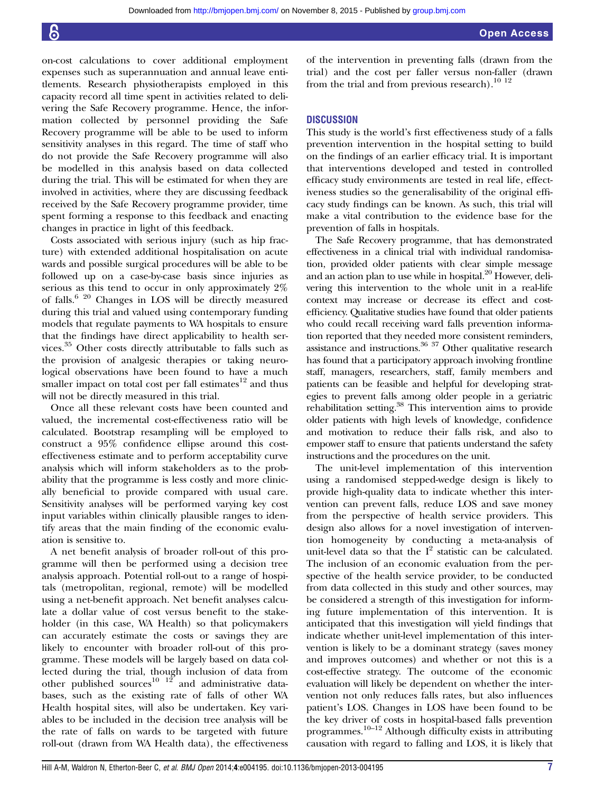on-cost calculations to cover additional employment expenses such as superannuation and annual leave entitlements. Research physiotherapists employed in this capacity record all time spent in activities related to delivering the Safe Recovery programme. Hence, the information collected by personnel providing the Safe Recovery programme will be able to be used to inform sensitivity analyses in this regard. The time of staff who do not provide the Safe Recovery programme will also be modelled in this analysis based on data collected during the trial. This will be estimated for when they are involved in activities, where they are discussing feedback received by the Safe Recovery programme provider, time spent forming a response to this feedback and enacting changes in practice in light of this feedback.

Costs associated with serious injury (such as hip fracture) with extended additional hospitalisation on acute wards and possible surgical procedures will be able to be followed up on a case-by-case basis since injuries as serious as this tend to occur in only approximately 2% of falls.<sup>6 20</sup> Changes in LOS will be directly measured during this trial and valued using contemporary funding models that regulate payments to WA hospitals to ensure that the findings have direct applicability to health services.<sup>35</sup> Other costs directly attributable to falls such as the provision of analgesic therapies or taking neurological observations have been found to have a much smaller impact on total cost per fall estimates $12$  and thus will not be directly measured in this trial.

Once all these relevant costs have been counted and valued, the incremental cost-effectiveness ratio will be calculated. Bootstrap resampling will be employed to construct a 95% confidence ellipse around this costeffectiveness estimate and to perform acceptability curve analysis which will inform stakeholders as to the probability that the programme is less costly and more clinically beneficial to provide compared with usual care. Sensitivity analyses will be performed varying key cost input variables within clinically plausible ranges to identify areas that the main finding of the economic evaluation is sensitive to.

A net benefit analysis of broader roll-out of this programme will then be performed using a decision tree analysis approach. Potential roll-out to a range of hospitals (metropolitan, regional, remote) will be modelled using a net-benefit approach. Net benefit analyses calculate a dollar value of cost versus benefit to the stakeholder (in this case, WA Health) so that policymakers can accurately estimate the costs or savings they are likely to encounter with broader roll-out of this programme. These models will be largely based on data collected during the trial, though inclusion of data from other published sources<sup>10 12</sup> and administrative databases, such as the existing rate of falls of other WA Health hospital sites, will also be undertaken. Key variables to be included in the decision tree analysis will be the rate of falls on wards to be targeted with future roll-out (drawn from WA Health data), the effectiveness

of the intervention in preventing falls (drawn from the trial) and the cost per faller versus non-faller (drawn from the trial and from previous research).<sup>10 12</sup>

#### **DISCUSSION**

This study is the world's first effectiveness study of a falls prevention intervention in the hospital setting to build on the findings of an earlier efficacy trial. It is important that interventions developed and tested in controlled efficacy study environments are tested in real life, effectiveness studies so the generalisability of the original efficacy study findings can be known. As such, this trial will make a vital contribution to the evidence base for the prevention of falls in hospitals.

The Safe Recovery programme, that has demonstrated effectiveness in a clinical trial with individual randomisation, provided older patients with clear simple message and an action plan to use while in hospital.<sup>20</sup> However, delivering this intervention to the whole unit in a real-life context may increase or decrease its effect and costefficiency. Qualitative studies have found that older patients who could recall receiving ward falls prevention information reported that they needed more consistent reminders, assistance and instructions. $36 \frac{37}{2}$  Other qualitative research has found that a participatory approach involving frontline staff, managers, researchers, staff, family members and patients can be feasible and helpful for developing strategies to prevent falls among older people in a geriatric rehabilitation setting.38 This intervention aims to provide older patients with high levels of knowledge, confidence and motivation to reduce their falls risk, and also to empower staff to ensure that patients understand the safety instructions and the procedures on the unit.

The unit-level implementation of this intervention using a randomised stepped-wedge design is likely to provide high-quality data to indicate whether this intervention can prevent falls, reduce LOS and save money from the perspective of health service providers. This design also allows for a novel investigation of intervention homogeneity by conducting a meta-analysis of unit-level data so that the  $I^2$  statistic can be calculated. The inclusion of an economic evaluation from the perspective of the health service provider, to be conducted from data collected in this study and other sources, may be considered a strength of this investigation for informing future implementation of this intervention. It is anticipated that this investigation will yield findings that indicate whether unit-level implementation of this intervention is likely to be a dominant strategy (saves money and improves outcomes) and whether or not this is a cost-effective strategy. The outcome of the economic evaluation will likely be dependent on whether the intervention not only reduces falls rates, but also influences patient's LOS. Changes in LOS have been found to be the key driver of costs in hospital-based falls prevention programmes.10–<sup>12</sup> Although difficulty exists in attributing causation with regard to falling and LOS, it is likely that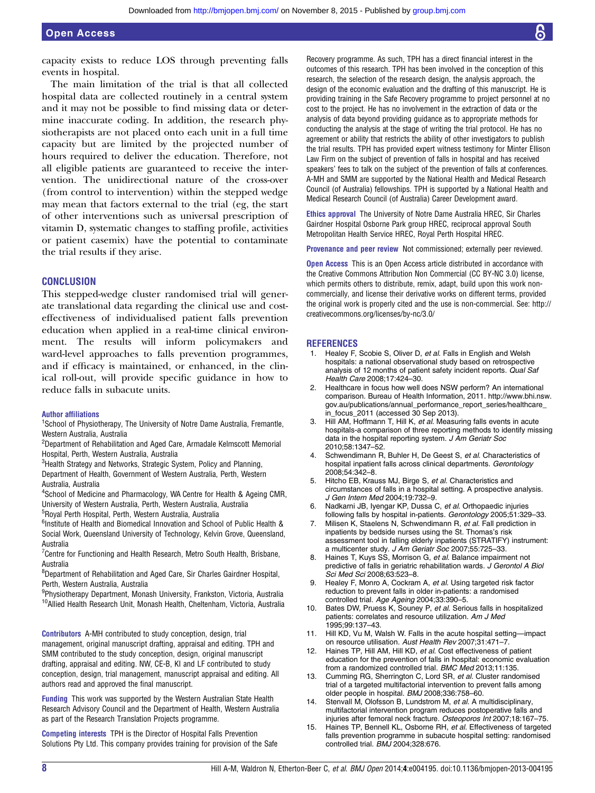capacity exists to reduce LOS through preventing falls events in hospital.

The main limitation of the trial is that all collected hospital data are collected routinely in a central system and it may not be possible to find missing data or determine inaccurate coding. In addition, the research physiotherapists are not placed onto each unit in a full time capacity but are limited by the projected number of hours required to deliver the education. Therefore, not all eligible patients are guaranteed to receive the intervention. The unidirectional nature of the cross-over (from control to intervention) within the stepped wedge may mean that factors external to the trial (eg, the start of other interventions such as universal prescription of vitamin D, systematic changes to staffing profile, activities or patient casemix) have the potential to contaminate the trial results if they arise.

#### **CONCLUSION**

This stepped-wedge cluster randomised trial will generate translational data regarding the clinical use and costeffectiveness of individualised patient falls prevention education when applied in a real-time clinical environment. The results will inform policymakers and ward-level approaches to falls prevention programmes, and if efficacy is maintained, or enhanced, in the clinical roll-out, will provide specific guidance in how to reduce falls in subacute units.

#### Author affiliations

<sup>1</sup>School of Physiotherapy, The University of Notre Dame Australia, Fremantle, Western Australia, Australia

<sup>2</sup>Department of Rehabilitation and Aged Care, Armadale Kelmscott Memorial Hospital, Perth, Western Australia, Australia

<sup>3</sup>Health Strategy and Networks, Strategic System, Policy and Planning,

Department of Health, Government of Western Australia, Perth, Western Australia, Australia

<sup>4</sup>School of Medicine and Pharmacology, WA Centre for Health & Ageing CMR, University of Western Australia, Perth, Western Australia, Australia

5 Royal Perth Hospital, Perth, Western Australia, Australia

<sup>6</sup>Institute of Health and Biomedical Innovation and School of Public Health & Social Work, Queensland University of Technology, Kelvin Grove, Queensland, Australia

<sup>7</sup> Centre for Functioning and Health Research, Metro South Health, Brisbane, Australia

<sup>8</sup>Department of Rehabilitation and Aged Care, Sir Charles Gairdner Hospital, Perth, Western Australia, Australia

<sup>9</sup>Physiotherapy Department, Monash University, Frankston, Victoria, Australia 10Allied Health Research Unit, Monash Health, Cheltenham, Victoria, Australia

Contributors A-MH contributed to study conception, design, trial management, original manuscript drafting, appraisal and editing. TPH and SMM contributed to the study conception, design, original manuscript drafting, appraisal and editing. NW, CE-B, KI and LF contributed to study conception, design, trial management, manuscript appraisal and editing. All authors read and approved the final manuscript.

Funding This work was supported by the Western Australian State Health Research Advisory Council and the Department of Health, Western Australia as part of the Research Translation Projects programme.

Competing interests TPH is the Director of Hospital Falls Prevention Solutions Pty Ltd. This company provides training for provision of the Safe

Recovery programme. As such, TPH has a direct financial interest in the outcomes of this research. TPH has been involved in the conception of this research, the selection of the research design, the analysis approach, the design of the economic evaluation and the drafting of this manuscript. He is providing training in the Safe Recovery programme to project personnel at no cost to the project. He has no involvement in the extraction of data or the analysis of data beyond providing guidance as to appropriate methods for conducting the analysis at the stage of writing the trial protocol. He has no agreement or ability that restricts the ability of other investigators to publish the trial results. TPH has provided expert witness testimony for Minter Ellison Law Firm on the subject of prevention of falls in hospital and has received speakers' fees to talk on the subject of the prevention of falls at conferences. A-MH and SMM are supported by the National Health and Medical Research Council (of Australia) fellowships. TPH is supported by a National Health and Medical Research Council (of Australia) Career Development award.

Ethics approval The University of Notre Dame Australia HREC, Sir Charles Gairdner Hospital Osborne Park group HREC, reciprocal approval South Metropolitan Health Service HREC, Royal Perth Hospital HREC.

Provenance and peer review Not commissioned; externally peer reviewed.

Open Access This is an Open Access article distributed in accordance with the Creative Commons Attribution Non Commercial (CC BY-NC 3.0) license, which permits others to distribute, remix, adapt, build upon this work noncommercially, and license their derivative works on different terms, provided the original work is properly cited and the use is non-commercial. See: [http://](http://creativecommons.org/licenses/by-nc/3.0/) [creativecommons.org/licenses/by-nc/3.0/](http://creativecommons.org/licenses/by-nc/3.0/)

#### **REFERENCES**

- 1. Healey F, Scobie S, Oliver D, et al. Falls in English and Welsh hospitals: a national observational study based on retrospective analysis of 12 months of patient safety incident reports. Qual Saf Health Care 2008;17:424–30.
- 2. Healthcare in focus how well does NSW perform? An international comparison. Bureau of Health Information, 2011. [http://www.bhi.nsw.](http://www.bhi.nsw.gov.au/publications/annual_performance_report_series/healthcare_in_focus_2011) [gov.au/publications/annual\\_performance\\_report\\_series/healthcare\\_](http://www.bhi.nsw.gov.au/publications/annual_performance_report_series/healthcare_in_focus_2011)  $\overline{a}$  in focus 2011 (accessed 30 Sep 2013).
- 3. Hill AM, Hoffmann T, Hill K, et al. Measuring falls events in acute hospitals-a comparison of three reporting methods to identify missing data in the hospital reporting system. J Am Geriatr Soc 2010;58:1347–52.
- 4. Schwendimann R, Buhler H, De Geest S, et al. Characteristics of hospital inpatient falls across clinical departments. Gerontology 2008;54:342–8.
- 5. Hitcho EB, Krauss MJ, Birge S, et al. Characteristics and circumstances of falls in a hospital setting. A prospective analysis. J Gen Intern Med 2004;19:732–9.
- 6. Nadkarni JB, Iyengar KP, Dussa C, et al. Orthopaedic injuries following falls by hospital in-patients. Gerontology 2005;51:329–33.
- 7. Milisen K, Staelens N, Schwendimann R, et al. Fall prediction in inpatients by bedside nurses using the St. Thomas's risk assessment tool in falling elderly inpatients (STRATIFY) instrument: a multicenter study. J Am Geriatr Soc 2007;55:725-33.
- Haines T, Kuys SS, Morrison G, et al. Balance impairment not predictive of falls in geriatric rehabilitation wards. J Gerontol A Biol Sci Med Sci 2008;63:523–8.
- 9. Healey F, Monro A, Cockram A, et al. Using targeted risk factor reduction to prevent falls in older in-patients: a randomised controlled trial. Age Ageing 2004;33:390–5.
- 10. Bates DW, Pruess K, Souney P, et al. Serious falls in hospitalized patients: correlates and resource utilization. Am J Med 1995;99:137–43.
- 11. Hill KD, Vu M, Walsh W. Falls in the acute hospital setting—impact on resource utilisation. Aust Health Rev 2007;31:471–7.
- 12. Haines TP, Hill AM, Hill KD, et al. Cost effectiveness of patient education for the prevention of falls in hospital: economic evaluation from a randomized controlled trial. BMC Med 2013;11:135.
- 13. Cumming RG, Sherrington C, Lord SR, et al. Cluster randomised trial of a targeted multifactorial intervention to prevent falls among older people in hospital. BMJ 2008;336:758–60.
- 14. Stenvall M, Olofsson B, Lundstrom M, et al. A multidisciplinary, multifactorial intervention program reduces postoperative falls and injuries after femoral neck fracture. Osteoporos Int 2007;18:167–75.
- 15. Haines TP, Bennell KL, Osborne RH, et al. Effectiveness of targeted falls prevention programme in subacute hospital setting: randomised controlled trial. BMJ 2004;328:676.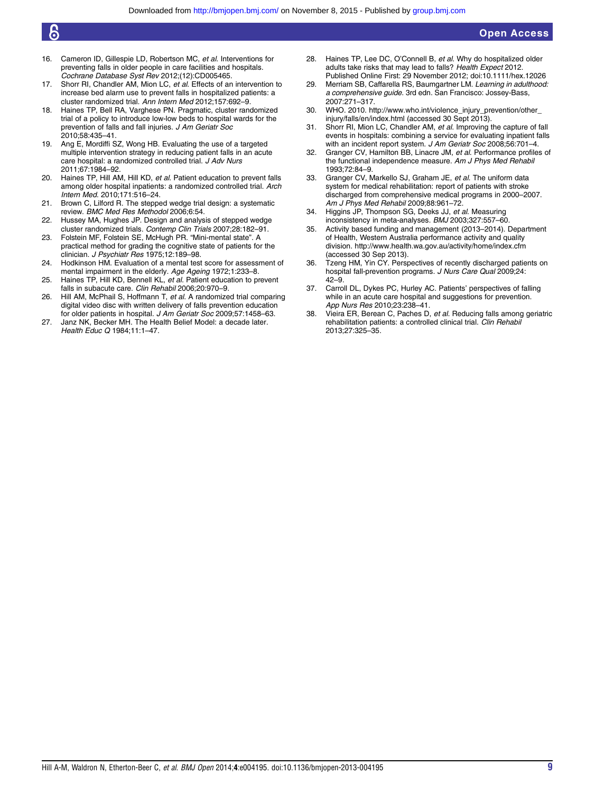#### Open Access

- 16. Cameron ID, Gillespie LD, Robertson MC, et al. Interventions for preventing falls in older people in care facilities and hospitals. Cochrane Database Syst Rev 2012;(12):CD005465.
- 17. Shorr RI, Chandler AM, Mion LC,  $eta$  al. Effects of an intervention to increase bed alarm use to prevent falls in hospitalized patients: a cluster randomized trial. Ann Intern Med 2012;157:692–9.
- 18. Haines TP, Bell RA, Varghese PN. Pragmatic, cluster randomized trial of a policy to introduce low-low beds to hospital wards for the prevention of falls and fall injuries. J Am Geriatr Soc 2010;58:435–41.
- 19. Ang E, Mordiffi SZ, Wong HB. Evaluating the use of a targeted multiple intervention strategy in reducing patient falls in an acute care hospital: a randomized controlled trial. J Adv Nurs 2011;67:1984–92.
- 20. Haines TP, Hill AM, Hill KD, et al. Patient education to prevent falls among older hospital inpatients: a randomized controlled trial. Arch Intern Med. 2010;171:516–24.
- 21. Brown C, Lilford R. The stepped wedge trial design: a systematic review. BMC Med Res Methodol 2006;6:54.
- 22. Hussey MA, Hughes JP. Design and analysis of stepped wedge cluster randomized trials. Contemp Clin Trials 2007;28:182–91.
- 23. Folstein MF, Folstein SE, McHugh PR. "Mini-mental state". A practical method for grading the cognitive state of patients for the clinician. J Psychiatr Res 1975;12:189–98.
- 24. Hodkinson HM. Evaluation of a mental test score for assessment of mental impairment in the elderly. Age Ageing 1972;1:233-8.
- 25. Haines TP, Hill KD, Bennell KL, et al. Patient education to prevent falls in subacute care. Clin Rehabil 2006;20:970–9.
- 26. Hill AM, McPhail S, Hoffmann T, et al. A randomized trial comparing digital video disc with written delivery of falls prevention education for older patients in hospital. J Am Geriatr Soc 2009;57:1458-63.
- 27. Janz NK, Becker MH. The Health Belief Model: a decade later. Health Educ Q 1984;11:1–47.
- 28. Haines TP. Lee DC. O'Connell B, et al. Why do hospitalized older adults take risks that may lead to falls? Health Expect 2012. Published Online First: 29 November 2012; doi[:10.1111/hex.12026](http://dx.doi.org/10.1111/hex.12026)
- 29. Merriam SB, Caffarella RS, Baumgartner LM. Learning in adulthood: a comprehensive guide. 3rd edn. San Francisco: Jossey-Bass, 2007:271–317.
- 30. WHO. 2010. [http://www.who.int/violence\\_injury\\_prevention/other\\_](http://www.who.int/violence_injury_prevention/other_injury/falls/en/index.html) [injury/falls/en/index.html](http://www.who.int/violence_injury_prevention/other_injury/falls/en/index.html) (accessed 30 Sept 2013).
- 31. Shorr RI, Mion LC, Chandler AM, et al. Improving the capture of fall events in hospitals: combining a service for evaluating inpatient falls with an incident report system. J Am Geriatr Soc 2008;56:701-4.
- 32. Granger CV, Hamilton BB, Linacre JM, et al. Performance profiles of the functional independence measure. Am J Phys Med Rehabil 1993;72:84–9.
- 33. Granger CV, Markello SJ, Graham JE, et al. The uniform data system for medical rehabilitation: report of patients with stroke discharged from comprehensive medical programs in 2000–2007. Am J Phys Med Rehabil 2009;88:961–72.
- 34. Higgins JP, Thompson SG, Deeks JJ, et al. Measuring inconsistency in meta-analyses. BMJ 2003;327:557–60.
- 35. Activity based funding and management (2013–2014). Department of Health, Western Australia performance activity and quality division.<http://www.health.wa.gov.au/activity/home/index.cfm> (accessed 30 Sep 2013).
- 36. Tzeng HM, Yin CY. Perspectives of recently discharged patients on hospital fall-prevention programs. J Nurs Care Qual 2009;24: 42–9.
- 37. Carroll DL, Dykes PC, Hurley AC. Patients' perspectives of falling while in an acute care hospital and suggestions for prevention. App Nurs Res 2010;23:238–41.
- Vieira ER, Berean C, Paches D, et al. Reducing falls among geriatric rehabilitation patients: a controlled clinical trial. Clin Rehabil 2013;27:325–35.